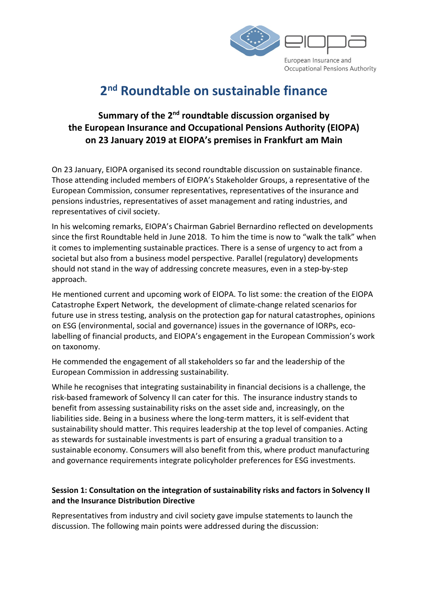

## 2<sup>nd</sup> Roundtable on sustainable finance

## Summary of the 2<sup>nd</sup> roundtable discussion organised by the European Insurance and Occupational Pensions Authority (EIOPA) on 23 January 2019 at EIOPA's premises in Frankfurt am Main

On 23 January, EIOPA organised its second roundtable discussion on sustainable finance. Those attending included members of EIOPA's Stakeholder Groups, a representative of the European Commission, consumer representatives, representatives of the insurance and pensions industries, representatives of asset management and rating industries, and representatives of civil society.

In his welcoming remarks, EIOPA's Chairman Gabriel Bernardino reflected on developments since the first Roundtable held in June 2018. To him the time is now to "walk the talk" when it comes to implementing sustainable practices. There is a sense of urgency to act from a societal but also from a business model perspective. Parallel (regulatory) developments should not stand in the way of addressing concrete measures, even in a step-by-step approach.

He mentioned current and upcoming work of EIOPA. To list some: the creation of the EIOPA Catastrophe Expert Network, the development of climate-change related scenarios for future use in stress testing, analysis on the protection gap for natural catastrophes, opinions on ESG (environmental, social and governance) issues in the governance of IORPs, ecolabelling of financial products, and EIOPA's engagement in the European Commission's work on taxonomy.

He commended the engagement of all stakeholders so far and the leadership of the European Commission in addressing sustainability.

While he recognises that integrating sustainability in financial decisions is a challenge, the risk-based framework of Solvency II can cater for this. The insurance industry stands to benefit from assessing sustainability risks on the asset side and, increasingly, on the liabilities side. Being in a business where the long-term matters, it is self-evident that sustainability should matter. This requires leadership at the top level of companies. Acting as stewards for sustainable investments is part of ensuring a gradual transition to a sustainable economy. Consumers will also benefit from this, where product manufacturing and governance requirements integrate policyholder preferences for ESG investments.

## Session 1: Consultation on the integration of sustainability risks and factors in Solvency II and the Insurance Distribution Directive

Representatives from industry and civil society gave impulse statements to launch the discussion. The following main points were addressed during the discussion: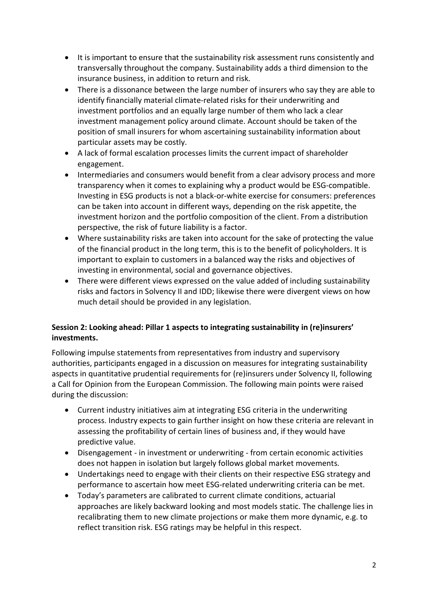- It is important to ensure that the sustainability risk assessment runs consistently and transversally throughout the company. Sustainability adds a third dimension to the insurance business, in addition to return and risk.
- There is a dissonance between the large number of insurers who say they are able to identify financially material climate-related risks for their underwriting and investment portfolios and an equally large number of them who lack a clear investment management policy around climate. Account should be taken of the position of small insurers for whom ascertaining sustainability information about particular assets may be costly.
- A lack of formal escalation processes limits the current impact of shareholder engagement.
- Intermediaries and consumers would benefit from a clear advisory process and more transparency when it comes to explaining why a product would be ESG-compatible. Investing in ESG products is not a black-or-white exercise for consumers: preferences can be taken into account in different ways, depending on the risk appetite, the investment horizon and the portfolio composition of the client. From a distribution perspective, the risk of future liability is a factor.
- Where sustainability risks are taken into account for the sake of protecting the value of the financial product in the long term, this is to the benefit of policyholders. It is important to explain to customers in a balanced way the risks and objectives of investing in environmental, social and governance objectives.
- There were different views expressed on the value added of including sustainability risks and factors in Solvency II and IDD; likewise there were divergent views on how much detail should be provided in any legislation.

## Session 2: Looking ahead: Pillar 1 aspects to integrating sustainability in (re)insurers' investments.

Following impulse statements from representatives from industry and supervisory authorities, participants engaged in a discussion on measures for integrating sustainability aspects in quantitative prudential requirements for (re)insurers under Solvency II, following a Call for Opinion from the European Commission. The following main points were raised during the discussion:

- Current industry initiatives aim at integrating ESG criteria in the underwriting process. Industry expects to gain further insight on how these criteria are relevant in assessing the profitability of certain lines of business and, if they would have predictive value.
- Disengagement in investment or underwriting from certain economic activities does not happen in isolation but largely follows global market movements.
- Undertakings need to engage with their clients on their respective ESG strategy and performance to ascertain how meet ESG-related underwriting criteria can be met.
- Today's parameters are calibrated to current climate conditions, actuarial approaches are likely backward looking and most models static. The challenge lies in recalibrating them to new climate projections or make them more dynamic, e.g. to reflect transition risk. ESG ratings may be helpful in this respect.